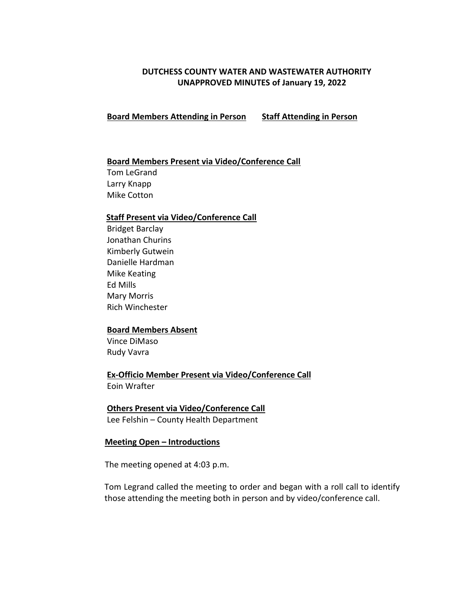# **DUTCHESS COUNTY WATER AND WASTEWATER AUTHORITY UNAPPROVED MINUTES of January 19, 2022**

 **Board Members Attending in Person Staff Attending in Person**

## **Board Members Present via Video/Conference Call**

 Tom LeGrand Larry Knapp Mike Cotton

#### **Staff Present via Video/Conference Call**

Bridget Barclay Jonathan Churins Kimberly Gutwein Danielle Hardman Mike Keating Ed Mills Mary Morris Rich Winchester

#### **Board Members Absent**

 Vince DiMaso Rudy Vavra

 **Ex-Officio Member Present via Video/Conference Call** Eoin Wrafter

### **Others Present via Video/Conference Call**

Lee Felshin – County Health Department

### **Meeting Open – Introductions**

The meeting opened at 4:03 p.m.

Tom Legrand called the meeting to order and began with a roll call to identify those attending the meeting both in person and by video/conference call.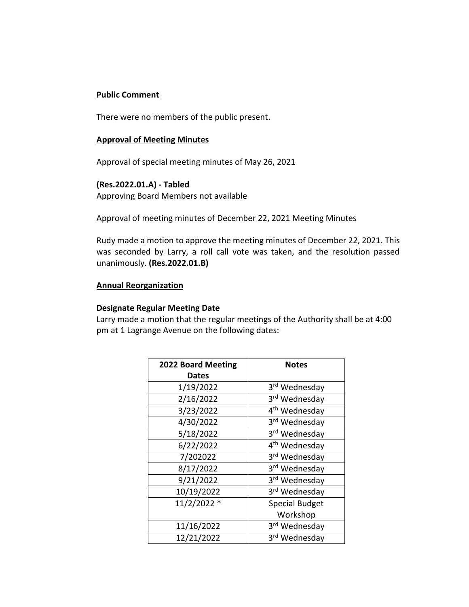# **Public Comment**

There were no members of the public present.

#### **Approval of Meeting Minutes**

Approval of special meeting minutes of May 26, 2021

## **(Res.2022.01.A) - Tabled**

Approving Board Members not available

Approval of meeting minutes of December 22, 2021 Meeting Minutes

Rudy made a motion to approve the meeting minutes of December 22, 2021. This was seconded by Larry, a roll call vote was taken, and the resolution passed unanimously. **(Res.2022.01.B)** 

## **Annual Reorganization**

### **Designate Regular Meeting Date**

Larry made a motion that the regular meetings of the Authority shall be at 4:00 pm at 1 Lagrange Avenue on the following dates:

| <b>2022 Board Meeting</b> | <b>Notes</b>              |
|---------------------------|---------------------------|
| <b>Dates</b>              |                           |
| 1/19/2022                 | 3rd Wednesday             |
| 2/16/2022                 | 3rd Wednesday             |
| 3/23/2022                 | 4 <sup>th</sup> Wednesday |
| 4/30/2022                 | 3rd Wednesday             |
| 5/18/2022                 | 3rd Wednesday             |
| 6/22/2022                 | 4 <sup>th</sup> Wednesday |
| 7/202022                  | 3rd Wednesday             |
| 8/17/2022                 | 3rd Wednesday             |
| 9/21/2022                 | 3rd Wednesday             |
| 10/19/2022                | 3rd Wednesday             |
| 11/2/2022 *               | <b>Special Budget</b>     |
|                           | Workshop                  |
| 11/16/2022                | 3rd Wednesday             |
| 12/21/2022                | 3 <sup>rd</sup> Wednesday |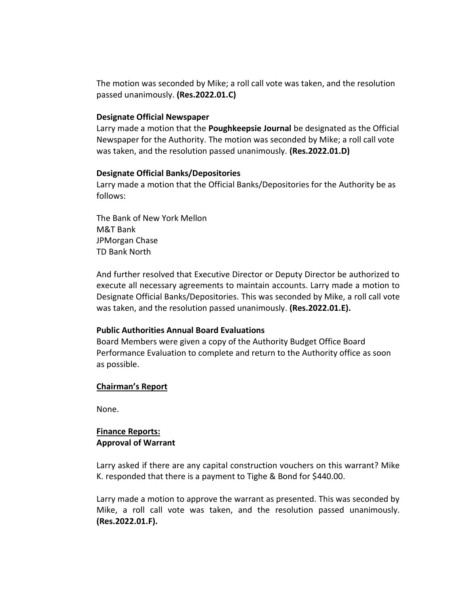The motion was seconded by Mike; a roll call vote was taken, and the resolution passed unanimously. **(Res.2022.01.C)**

#### **Designate Official Newspaper**

Larry made a motion that the **Poughkeepsie Journal** be designated as the Official Newspaper for the Authority. The motion was seconded by Mike; a roll call vote was taken, and the resolution passed unanimously. **(Res.2022.01.D)**

### **Designate Official Banks/Depositories**

Larry made a motion that the Official Banks/Depositories for the Authority be as follows:

The Bank of New York Mellon M&T Bank JPMorgan Chase TD Bank North

And further resolved that Executive Director or Deputy Director be authorized to execute all necessary agreements to maintain accounts. Larry made a motion to Designate Official Banks/Depositories. This was seconded by Mike, a roll call vote was taken, and the resolution passed unanimously. **(Res.2022.01.E).**

### **Public Authorities Annual Board Evaluations**

Board Members were given a copy of the Authority Budget Office Board Performance Evaluation to complete and return to the Authority office as soon as possible.

### **Chairman's Report**

None.

## **Finance Reports: Approval of Warrant**

Larry asked if there are any capital construction vouchers on this warrant? Mike K. responded that there is a payment to Tighe & Bond for \$440.00.

Larry made a motion to approve the warrant as presented. This was seconded by Mike, a roll call vote was taken, and the resolution passed unanimously. **(Res.2022.01.F).**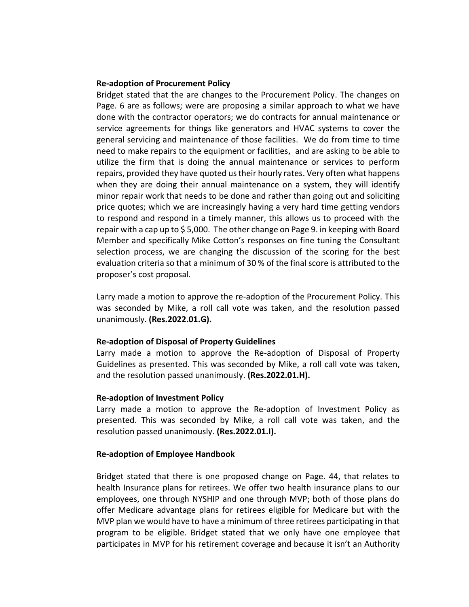#### **Re-adoption of Procurement Policy**

Bridget stated that the are changes to the Procurement Policy. The changes on Page. 6 are as follows; were are proposing a similar approach to what we have done with the contractor operators; we do contracts for annual maintenance or service agreements for things like generators and HVAC systems to cover the general servicing and maintenance of those facilities. We do from time to time need to make repairs to the equipment or facilities, and are asking to be able to utilize the firm that is doing the annual maintenance or services to perform repairs, provided they have quoted us their hourly rates. Very often what happens when they are doing their annual maintenance on a system, they will identify minor repair work that needs to be done and rather than going out and soliciting price quotes; which we are increasingly having a very hard time getting vendors to respond and respond in a timely manner, this allows us to proceed with the repair with a cap up to \$ 5,000. The other change on Page 9. in keeping with Board Member and specifically Mike Cotton's responses on fine tuning the Consultant selection process, we are changing the discussion of the scoring for the best evaluation criteria so that a minimum of 30 % of the final score is attributed to the proposer's cost proposal.

Larry made a motion to approve the re-adoption of the Procurement Policy. This was seconded by Mike, a roll call vote was taken, and the resolution passed unanimously. **(Res.2022.01.G).**

### **Re-adoption of Disposal of Property Guidelines**

Larry made a motion to approve the Re-adoption of Disposal of Property Guidelines as presented. This was seconded by Mike, a roll call vote was taken, and the resolution passed unanimously. **(Res.2022.01.H).**

### **Re-adoption of Investment Policy**

Larry made a motion to approve the Re-adoption of Investment Policy as presented. This was seconded by Mike, a roll call vote was taken, and the resolution passed unanimously. **(Res.2022.01.I).**

### **Re-adoption of Employee Handbook**

Bridget stated that there is one proposed change on Page. 44, that relates to health Insurance plans for retirees. We offer two health insurance plans to our employees, one through NYSHIP and one through MVP; both of those plans do offer Medicare advantage plans for retirees eligible for Medicare but with the MVP plan we would have to have a minimum of three retirees participating in that program to be eligible. Bridget stated that we only have one employee that participates in MVP for his retirement coverage and because it isn't an Authority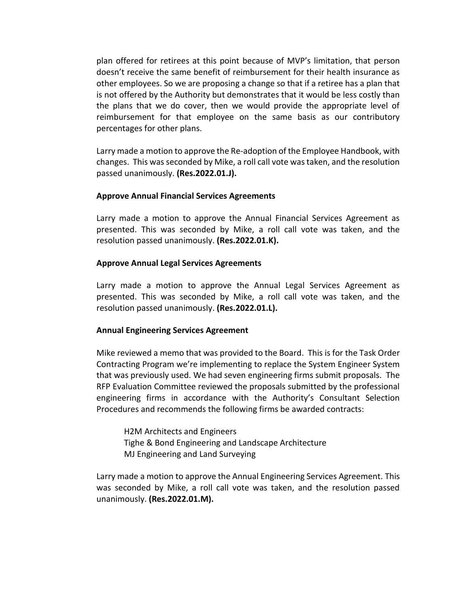plan offered for retirees at this point because of MVP's limitation, that person doesn't receive the same benefit of reimbursement for their health insurance as other employees. So we are proposing a change so that if a retiree has a plan that is not offered by the Authority but demonstrates that it would be less costly than the plans that we do cover, then we would provide the appropriate level of reimbursement for that employee on the same basis as our contributory percentages for other plans.

Larry made a motion to approve the Re-adoption of the Employee Handbook, with changes. This was seconded by Mike, a roll call vote was taken, and the resolution passed unanimously. **(Res.2022.01.J).**

## **Approve Annual Financial Services Agreements**

Larry made a motion to approve the Annual Financial Services Agreement as presented. This was seconded by Mike, a roll call vote was taken, and the resolution passed unanimously. **(Res.2022.01.K).**

## **Approve Annual Legal Services Agreements**

Larry made a motion to approve the Annual Legal Services Agreement as presented. This was seconded by Mike, a roll call vote was taken, and the resolution passed unanimously. **(Res.2022.01.L).**

# **Annual Engineering Services Agreement**

Mike reviewed a memo that was provided to the Board. This is for the Task Order Contracting Program we're implementing to replace the System Engineer System that was previously used. We had seven engineering firms submit proposals. The RFP Evaluation Committee reviewed the proposals submitted by the professional engineering firms in accordance with the Authority's Consultant Selection Procedures and recommends the following firms be awarded contracts:

H2M Architects and Engineers Tighe & Bond Engineering and Landscape Architecture MJ Engineering and Land Surveying

Larry made a motion to approve the Annual Engineering Services Agreement. This was seconded by Mike, a roll call vote was taken, and the resolution passed unanimously. **(Res.2022.01.M).**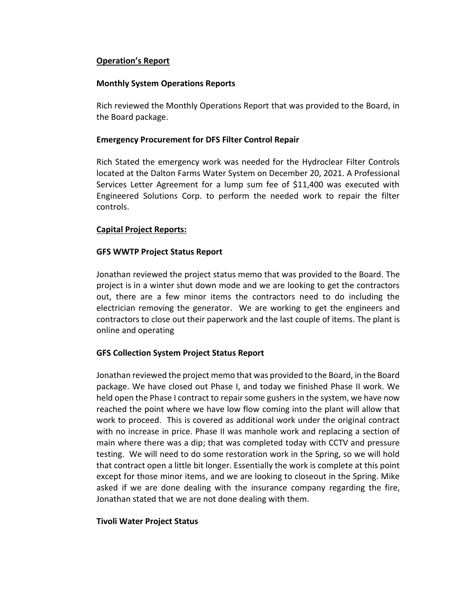# **Operation's Report**

### **Monthly System Operations Reports**

Rich reviewed the Monthly Operations Report that was provided to the Board, in the Board package.

## **Emergency Procurement for DFS Filter Control Repair**

Rich Stated the emergency work was needed for the Hydroclear Filter Controls located at the Dalton Farms Water System on December 20, 2021. A Professional Services Letter Agreement for a lump sum fee of \$11,400 was executed with Engineered Solutions Corp. to perform the needed work to repair the filter controls.

## **Capital Project Reports:**

## **GFS WWTP Project Status Report**

Jonathan reviewed the project status memo that was provided to the Board. The project is in a winter shut down mode and we are looking to get the contractors out, there are a few minor items the contractors need to do including the electrician removing the generator. We are working to get the engineers and contractors to close out their paperwork and the last couple of items. The plant is online and operating

# **GFS Collection System Project Status Report**

Jonathan reviewed the project memo that was provided to the Board, in the Board package. We have closed out Phase I, and today we finished Phase II work. We held open the Phase I contract to repair some gushers in the system, we have now reached the point where we have low flow coming into the plant will allow that work to proceed. This is covered as additional work under the original contract with no increase in price. Phase II was manhole work and replacing a section of main where there was a dip; that was completed today with CCTV and pressure testing. We will need to do some restoration work in the Spring, so we will hold that contract open a little bit longer. Essentially the work is complete at this point except for those minor items, and we are looking to closeout in the Spring. Mike asked if we are done dealing with the insurance company regarding the fire, Jonathan stated that we are not done dealing with them.

### **Tivoli Water Project Status**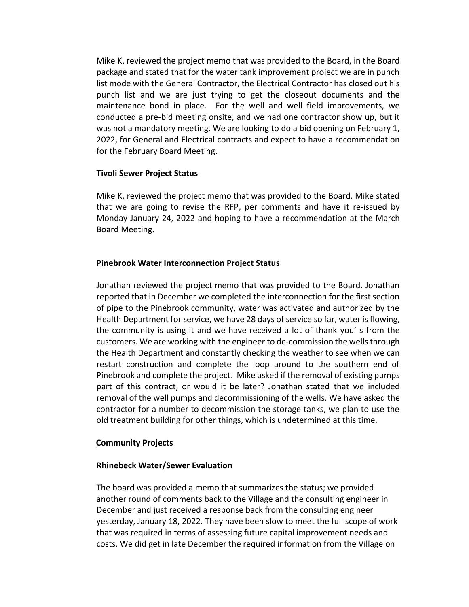Mike K. reviewed the project memo that was provided to the Board, in the Board package and stated that for the water tank improvement project we are in punch list mode with the General Contractor, the Electrical Contractor has closed out his punch list and we are just trying to get the closeout documents and the maintenance bond in place. For the well and well field improvements, we conducted a pre-bid meeting onsite, and we had one contractor show up, but it was not a mandatory meeting. We are looking to do a bid opening on February 1, 2022, for General and Electrical contracts and expect to have a recommendation for the February Board Meeting.

## **Tivoli Sewer Project Status**

Mike K. reviewed the project memo that was provided to the Board. Mike stated that we are going to revise the RFP, per comments and have it re-issued by Monday January 24, 2022 and hoping to have a recommendation at the March Board Meeting.

# **Pinebrook Water Interconnection Project Status**

Jonathan reviewed the project memo that was provided to the Board. Jonathan reported that in December we completed the interconnection for the first section of pipe to the Pinebrook community, water was activated and authorized by the Health Department for service, we have 28 days of service so far, water is flowing, the community is using it and we have received a lot of thank you' s from the customers. We are working with the engineer to de-commission the wells through the Health Department and constantly checking the weather to see when we can restart construction and complete the loop around to the southern end of Pinebrook and complete the project. Mike asked if the removal of existing pumps part of this contract, or would it be later? Jonathan stated that we included removal of the well pumps and decommissioning of the wells. We have asked the contractor for a number to decommission the storage tanks, we plan to use the old treatment building for other things, which is undetermined at this time.

# **Community Projects**

# **Rhinebeck Water/Sewer Evaluation**

The board was provided a memo that summarizes the status; we provided another round of comments back to the Village and the consulting engineer in December and just received a response back from the consulting engineer yesterday, January 18, 2022. They have been slow to meet the full scope of work that was required in terms of assessing future capital improvement needs and costs. We did get in late December the required information from the Village on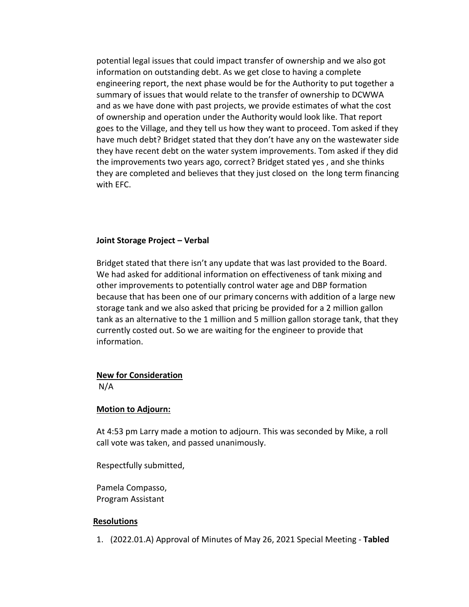potential legal issues that could impact transfer of ownership and we also got information on outstanding debt. As we get close to having a complete engineering report, the next phase would be for the Authority to put together a summary of issues that would relate to the transfer of ownership to DCWWA and as we have done with past projects, we provide estimates of what the cost of ownership and operation under the Authority would look like. That report goes to the Village, and they tell us how they want to proceed. Tom asked if they have much debt? Bridget stated that they don't have any on the wastewater side they have recent debt on the water system improvements. Tom asked if they did the improvements two years ago, correct? Bridget stated yes , and she thinks they are completed and believes that they just closed on the long term financing with EFC.

### **Joint Storage Project – Verbal**

Bridget stated that there isn't any update that was last provided to the Board. We had asked for additional information on effectiveness of tank mixing and other improvements to potentially control water age and DBP formation because that has been one of our primary concerns with addition of a large new storage tank and we also asked that pricing be provided for a 2 million gallon tank as an alternative to the 1 million and 5 million gallon storage tank, that they currently costed out. So we are waiting for the engineer to provide that information.

### **New for Consideration**

N/A

### **Motion to Adjourn:**

At 4:53 pm Larry made a motion to adjourn. This was seconded by Mike, a roll call vote was taken, and passed unanimously.

Respectfully submitted,

Pamela Compasso, Program Assistant

#### **Resolutions**

1. (2022.01.A) Approval of Minutes of May 26, 2021 Special Meeting - **Tabled**